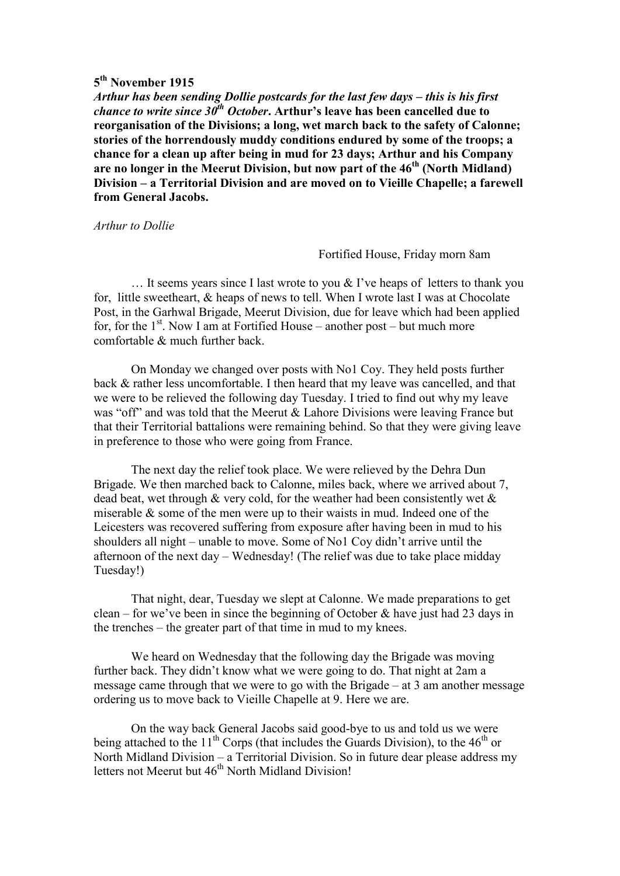*Arthur has been sending Dollie postcards for the last few days – this is his first chance to write since 30th October***. Arthur's leave has been cancelled due to reorganisation of the Divisions; a long, wet march back to the safety of Calonne; stories of the horrendously muddy conditions endured by some of the troops; a chance for a clean up after being in mud for 23 days; Arthur and his Company are no longer in the Meerut Division, but now part of the 46th (North Midland) Division – a Territorial Division and are moved on to Vieille Chapelle; a farewell from General Jacobs.** 

#### *Arthur to Dollie*

Fortified House, Friday morn 8am

 … It seems years since I last wrote to you & I've heaps of letters to thank you for, little sweetheart, & heaps of news to tell. When I wrote last I was at Chocolate Post, in the Garhwal Brigade, Meerut Division, due for leave which had been applied for, for the  $1<sup>st</sup>$ . Now I am at Fortified House – another post – but much more comfortable & much further back.

 On Monday we changed over posts with No1 Coy. They held posts further back & rather less uncomfortable. I then heard that my leave was cancelled, and that we were to be relieved the following day Tuesday. I tried to find out why my leave was "off" and was told that the Meerut & Lahore Divisions were leaving France but that their Territorial battalions were remaining behind. So that they were giving leave in preference to those who were going from France.

 The next day the relief took place. We were relieved by the Dehra Dun Brigade. We then marched back to Calonne, miles back, where we arrived about 7, dead beat, wet through  $\&$  very cold, for the weather had been consistently wet  $\&$ miserable & some of the men were up to their waists in mud. Indeed one of the Leicesters was recovered suffering from exposure after having been in mud to his shoulders all night – unable to move. Some of No1 Coy didn't arrive until the afternoon of the next day – Wednesday! (The relief was due to take place midday Tuesday!)

 That night, dear, Tuesday we slept at Calonne. We made preparations to get clean – for we've been in since the beginning of October  $\&$  have just had 23 days in the trenches – the greater part of that time in mud to my knees.

 We heard on Wednesday that the following day the Brigade was moving further back. They didn't know what we were going to do. That night at 2am a message came through that we were to go with the Brigade – at 3 am another message ordering us to move back to Vieille Chapelle at 9. Here we are.

 On the way back General Jacobs said good-bye to us and told us we were being attached to the  $11<sup>th</sup>$  Corps (that includes the Guards Division), to the  $46<sup>th</sup>$  or North Midland Division – a Territorial Division. So in future dear please address my letters not Meerut but 46<sup>th</sup> North Midland Division!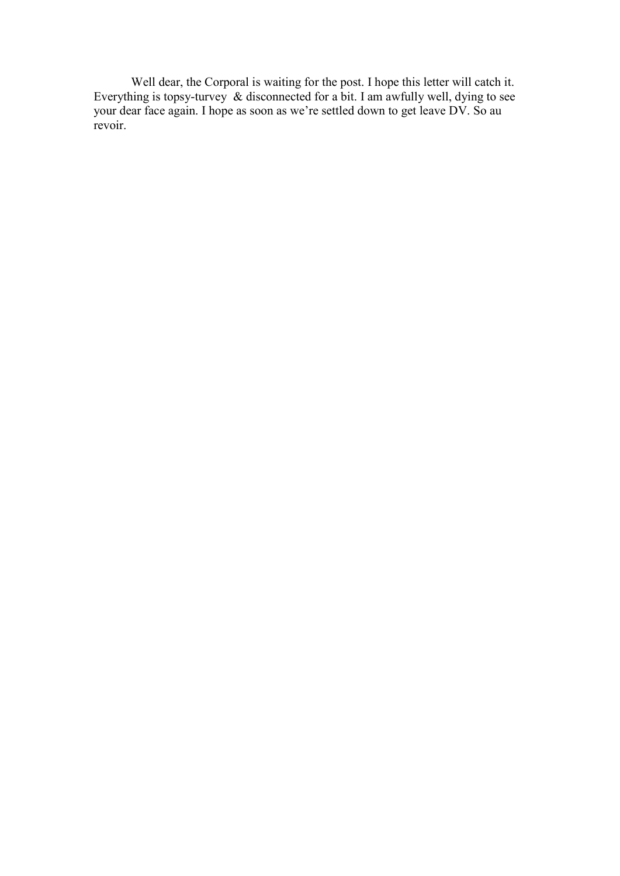Well dear, the Corporal is waiting for the post. I hope this letter will catch it. Everything is topsy-turvey & disconnected for a bit. I am awfully well, dying to see your dear face again. I hope as soon as we're settled down to get leave DV. So au revoir.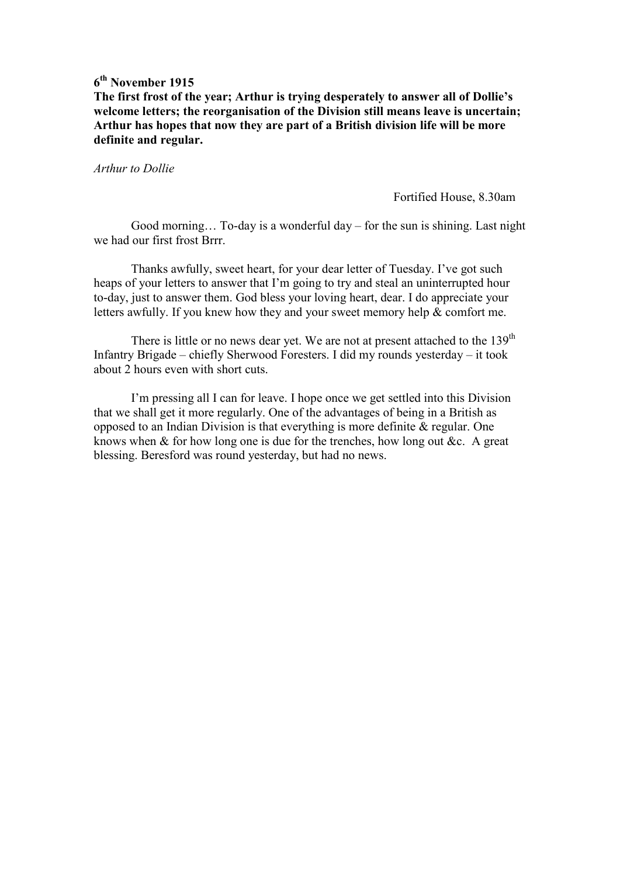**The first frost of the year; Arthur is trying desperately to answer all of Dollie's welcome letters; the reorganisation of the Division still means leave is uncertain; Arthur has hopes that now they are part of a British division life will be more definite and regular.** 

#### *Arthur to Dollie*

Fortified House, 8.30am

 Good morning… To-day is a wonderful day – for the sun is shining. Last night we had our first frost Brrr.

 Thanks awfully, sweet heart, for your dear letter of Tuesday. I've got such heaps of your letters to answer that I'm going to try and steal an uninterrupted hour to-day, just to answer them. God bless your loving heart, dear. I do appreciate your letters awfully. If you knew how they and your sweet memory help & comfort me.

There is little or no news dear yet. We are not at present attached to the  $139<sup>th</sup>$ Infantry Brigade – chiefly Sherwood Foresters. I did my rounds yesterday – it took about 2 hours even with short cuts.

 I'm pressing all I can for leave. I hope once we get settled into this Division that we shall get it more regularly. One of the advantages of being in a British as opposed to an Indian Division is that everything is more definite & regular. One knows when  $\&$  for how long one is due for the trenches, how long out  $&c$ . A great blessing. Beresford was round yesterday, but had no news.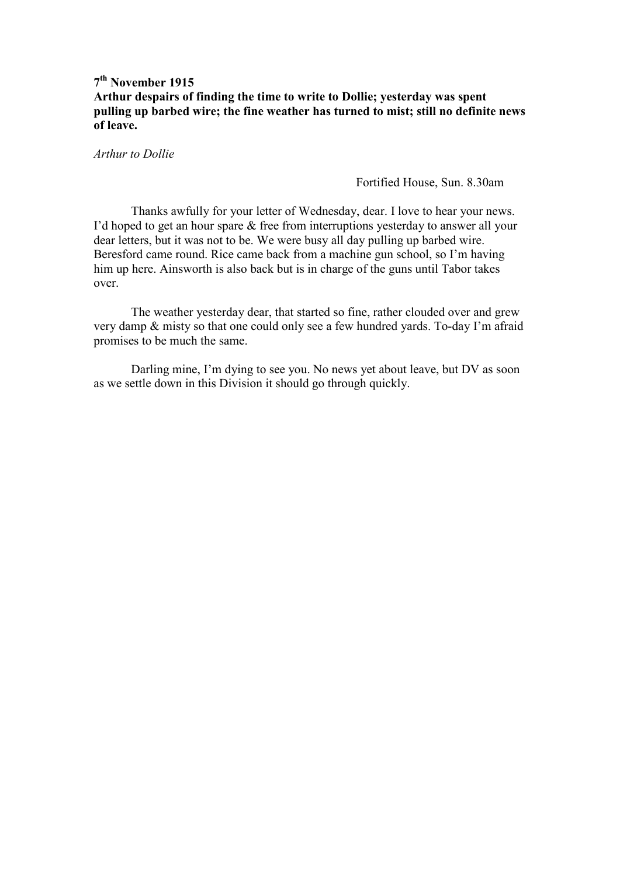## **7 th November 1915 Arthur despairs of finding the time to write to Dollie; yesterday was spent pulling up barbed wire; the fine weather has turned to mist; still no definite news of leave.**

*Arthur to Dollie* 

Fortified House, Sun. 8.30am

 Thanks awfully for your letter of Wednesday, dear. I love to hear your news. I'd hoped to get an hour spare & free from interruptions yesterday to answer all your dear letters, but it was not to be. We were busy all day pulling up barbed wire. Beresford came round. Rice came back from a machine gun school, so I'm having him up here. Ainsworth is also back but is in charge of the guns until Tabor takes over.

 The weather yesterday dear, that started so fine, rather clouded over and grew very damp & misty so that one could only see a few hundred yards. To-day I'm afraid promises to be much the same.

 Darling mine, I'm dying to see you. No news yet about leave, but DV as soon as we settle down in this Division it should go through quickly.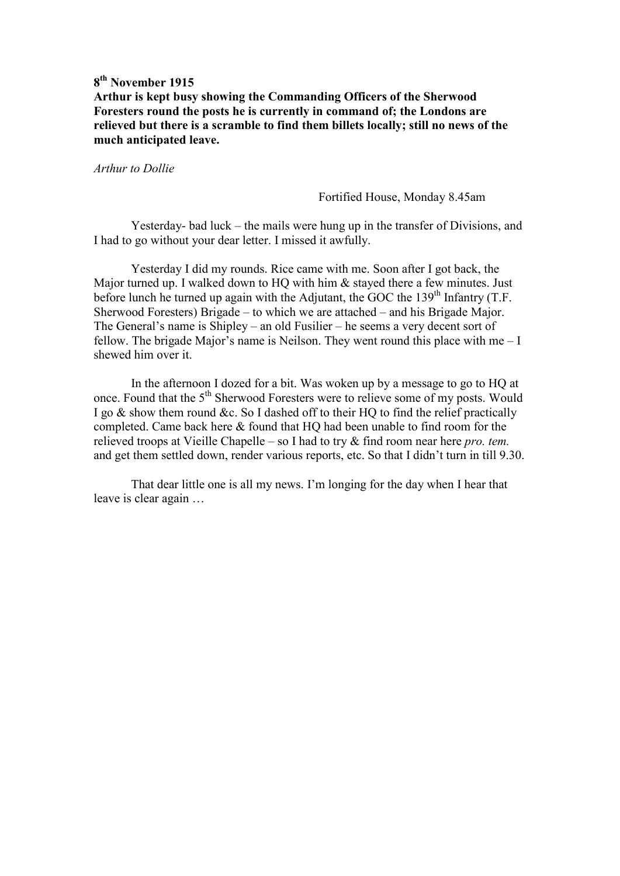**Arthur is kept busy showing the Commanding Officers of the Sherwood Foresters round the posts he is currently in command of; the Londons are relieved but there is a scramble to find them billets locally; still no news of the much anticipated leave.** 

*Arthur to Dollie* 

Fortified House, Monday 8.45am

 Yesterday- bad luck – the mails were hung up in the transfer of Divisions, and I had to go without your dear letter. I missed it awfully.

 Yesterday I did my rounds. Rice came with me. Soon after I got back, the Major turned up. I walked down to HQ with him & stayed there a few minutes. Just before lunch he turned up again with the Adjutant, the GOC the  $139<sup>th</sup>$  Infantry (T.F. Sherwood Foresters) Brigade – to which we are attached – and his Brigade Major. The General's name is Shipley – an old Fusilier – he seems a very decent sort of fellow. The brigade Major's name is Neilson. They went round this place with me  $-I$ shewed him over it.

 In the afternoon I dozed for a bit. Was woken up by a message to go to HQ at once. Found that the 5<sup>th</sup> Sherwood Foresters were to relieve some of my posts. Would I go  $\&$  show them round  $&c.$  So I dashed off to their HQ to find the relief practically completed. Came back here & found that HQ had been unable to find room for the relieved troops at Vieille Chapelle – so I had to try & find room near here *pro. tem.* and get them settled down, render various reports, etc. So that I didn't turn in till 9.30.

 That dear little one is all my news. I'm longing for the day when I hear that leave is clear again …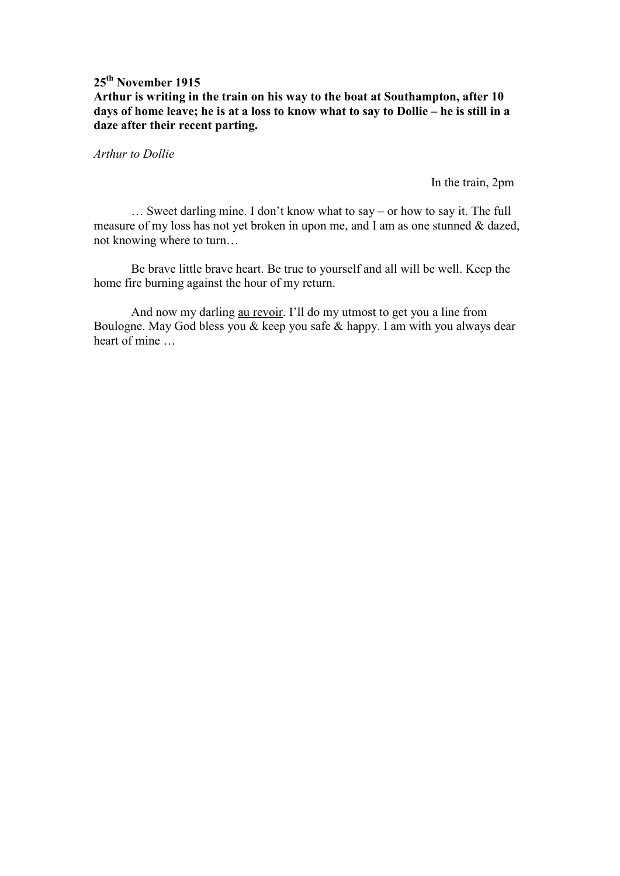## **25th November 1915 Arthur is writing in the train on his way to the boat at Southampton, after 10 days of home leave; he is at a loss to know what to say to Dollie – he is still in a daze after their recent parting.**

*Arthur to Dollie* 

In the train, 2pm

 … Sweet darling mine. I don't know what to say – or how to say it. The full measure of my loss has not yet broken in upon me, and I am as one stunned & dazed, not knowing where to turn…

 Be brave little brave heart. Be true to yourself and all will be well. Keep the home fire burning against the hour of my return.

 And now my darling au revoir. I'll do my utmost to get you a line from Boulogne. May God bless you & keep you safe & happy. I am with you always dear heart of mine …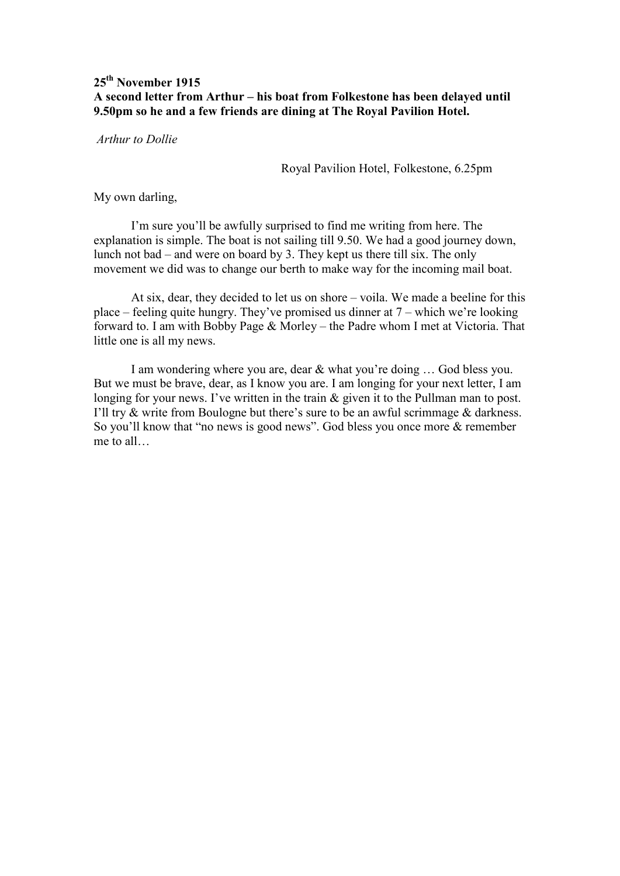## **25th November 1915 A second letter from Arthur – his boat from Folkestone has been delayed until 9.50pm so he and a few friends are dining at The Royal Pavilion Hotel.**

*Arthur to Dollie* 

Royal Pavilion Hotel, Folkestone, 6.25pm

My own darling,

 I'm sure you'll be awfully surprised to find me writing from here. The explanation is simple. The boat is not sailing till 9.50. We had a good journey down, lunch not bad – and were on board by 3. They kept us there till six. The only movement we did was to change our berth to make way for the incoming mail boat.

 At six, dear, they decided to let us on shore – voila. We made a beeline for this place – feeling quite hungry. They've promised us dinner at 7 – which we're looking forward to. I am with Bobby Page & Morley – the Padre whom I met at Victoria. That little one is all my news.

 I am wondering where you are, dear & what you're doing … God bless you. But we must be brave, dear, as I know you are. I am longing for your next letter, I am longing for your news. I've written in the train  $\&$  given it to the Pullman man to post. I'll try & write from Boulogne but there's sure to be an awful scrimmage & darkness. So you'll know that "no news is good news". God bless you once more & remember me to all…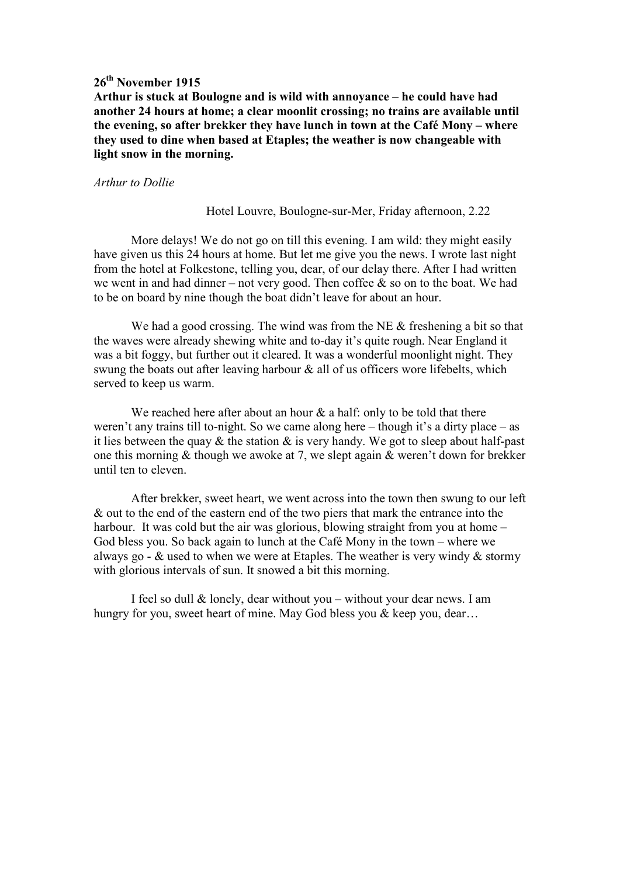**Arthur is stuck at Boulogne and is wild with annoyance – he could have had another 24 hours at home; a clear moonlit crossing; no trains are available until the evening, so after brekker they have lunch in town at the Café Mony – where they used to dine when based at Etaples; the weather is now changeable with light snow in the morning.** 

#### *Arthur to Dollie*

#### Hotel Louvre, Boulogne-sur-Mer, Friday afternoon, 2.22

 More delays! We do not go on till this evening. I am wild: they might easily have given us this 24 hours at home. But let me give you the news. I wrote last night from the hotel at Folkestone, telling you, dear, of our delay there. After I had written we went in and had dinner – not very good. Then coffee  $\&$  so on to the boat. We had to be on board by nine though the boat didn't leave for about an hour.

We had a good crossing. The wind was from the NE & freshening a bit so that the waves were already shewing white and to-day it's quite rough. Near England it was a bit foggy, but further out it cleared. It was a wonderful moonlight night. They swung the boats out after leaving harbour & all of us officers wore lifebelts, which served to keep us warm.

We reached here after about an hour  $\&$  a half: only to be told that there weren't any trains till to-night. So we came along here – though it's a dirty place – as it lies between the quay  $\&$  the station  $\&$  is very handy. We got to sleep about half-past one this morning & though we awoke at 7, we slept again & weren't down for brekker until ten to eleven.

 After brekker, sweet heart, we went across into the town then swung to our left & out to the end of the eastern end of the two piers that mark the entrance into the harbour. It was cold but the air was glorious, blowing straight from you at home – God bless you. So back again to lunch at the Café Mony in the town – where we always go -  $\&$  used to when we were at Etaples. The weather is very windy  $\&$  stormy with glorious intervals of sun. It snowed a bit this morning.

 I feel so dull & lonely, dear without you – without your dear news. I am hungry for you, sweet heart of mine. May God bless you & keep you, dear…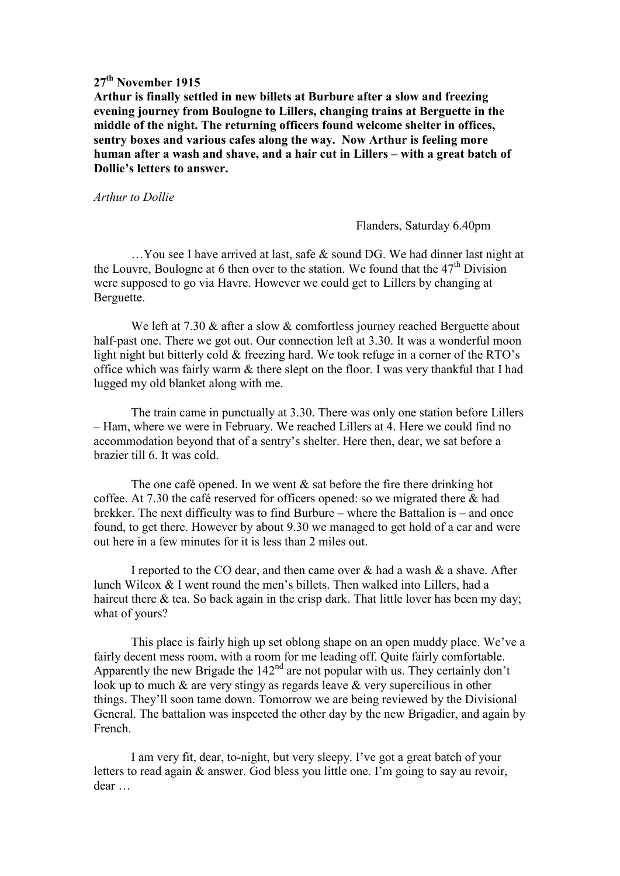**Arthur is finally settled in new billets at Burbure after a slow and freezing evening journey from Boulogne to Lillers, changing trains at Berguette in the middle of the night. The returning officers found welcome shelter in offices, sentry boxes and various cafes along the way. Now Arthur is feeling more human after a wash and shave, and a hair cut in Lillers – with a great batch of Dollie's letters to answer.** 

*Arthur to Dollie* 

Flanders, Saturday 6.40pm

 …You see I have arrived at last, safe & sound DG. We had dinner last night at the Louvre. Boulogne at 6 then over to the station. We found that the  $47<sup>th</sup>$  Division were supposed to go via Havre. However we could get to Lillers by changing at Berguette.

We left at 7.30  $\&$  after a slow  $\&$  comfortless journey reached Berguette about half-past one. There we got out. Our connection left at 3.30. It was a wonderful moon light night but bitterly cold & freezing hard. We took refuge in a corner of the RTO's office which was fairly warm & there slept on the floor. I was very thankful that I had lugged my old blanket along with me.

 The train came in punctually at 3.30. There was only one station before Lillers – Ham, where we were in February. We reached Lillers at 4. Here we could find no accommodation beyond that of a sentry's shelter. Here then, dear, we sat before a brazier till 6. It was cold.

The one café opened. In we went  $\&$  sat before the fire there drinking hot coffee. At 7.30 the café reserved for officers opened: so we migrated there & had brekker. The next difficulty was to find Burbure – where the Battalion is – and once found, to get there. However by about 9.30 we managed to get hold of a car and were out here in a few minutes for it is less than 2 miles out.

 I reported to the CO dear, and then came over & had a wash & a shave. After lunch Wilcox & I went round the men's billets. Then walked into Lillers, had a haircut there  $\&$  tea. So back again in the crisp dark. That little lover has been my day; what of yours?

 This place is fairly high up set oblong shape on an open muddy place. We've a fairly decent mess room, with a room for me leading off. Quite fairly comfortable. Apparently the new Brigade the  $142<sup>nd</sup>$  are not popular with us. They certainly don't look up to much & are very stingy as regards leave & very supercilious in other things. They'll soon tame down. Tomorrow we are being reviewed by the Divisional General. The battalion was inspected the other day by the new Brigadier, and again by French.

 I am very fit, dear, to-night, but very sleepy. I've got a great batch of your letters to read again & answer. God bless you little one. I'm going to say au revoir, dear …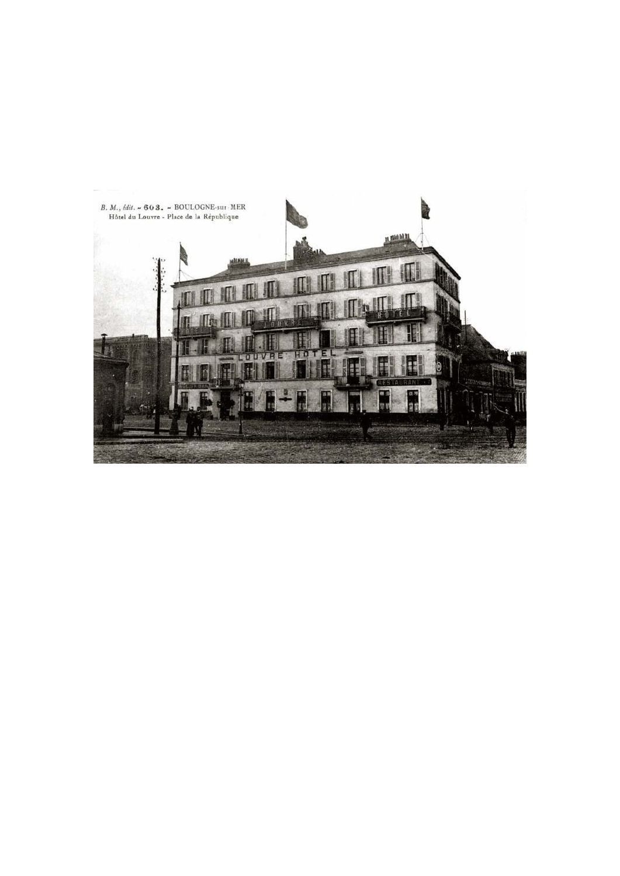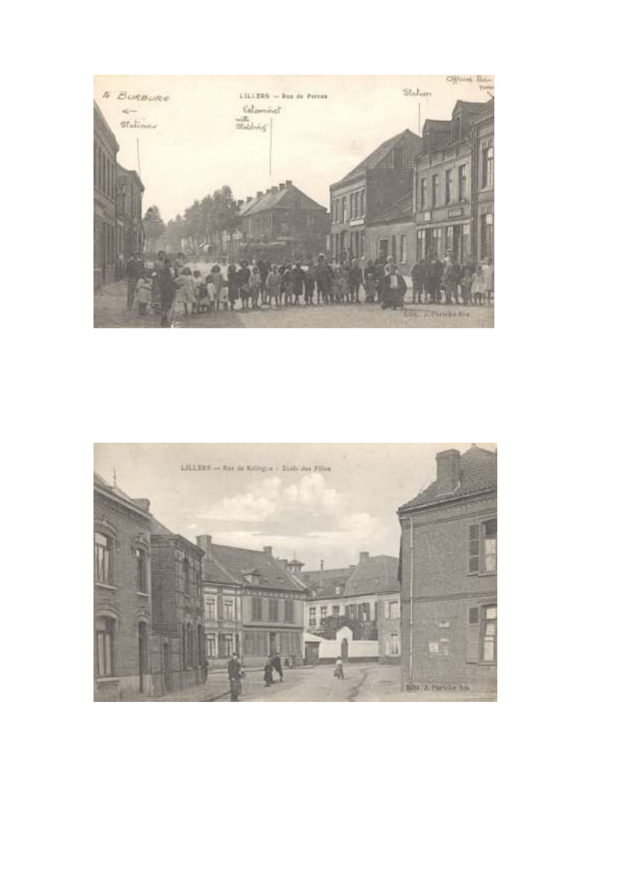

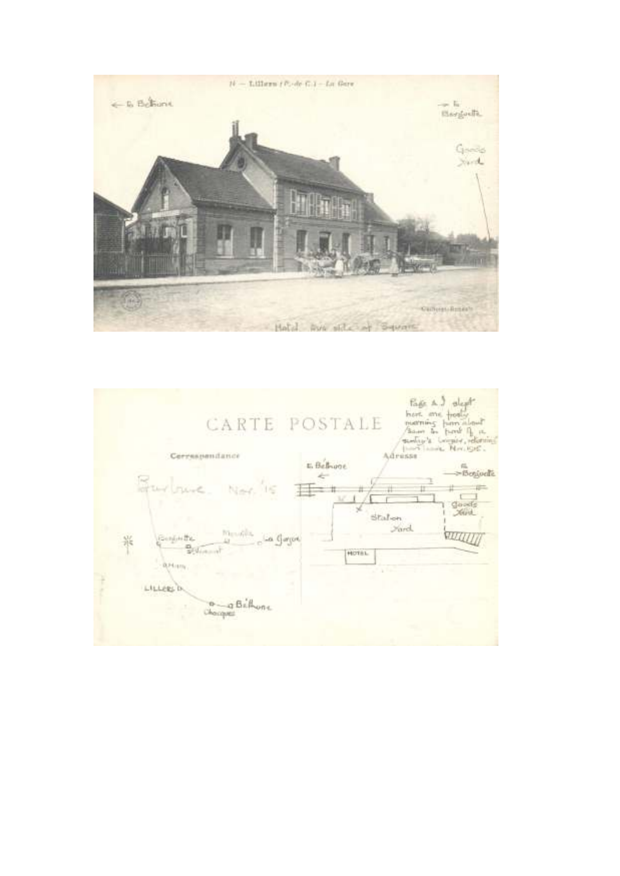

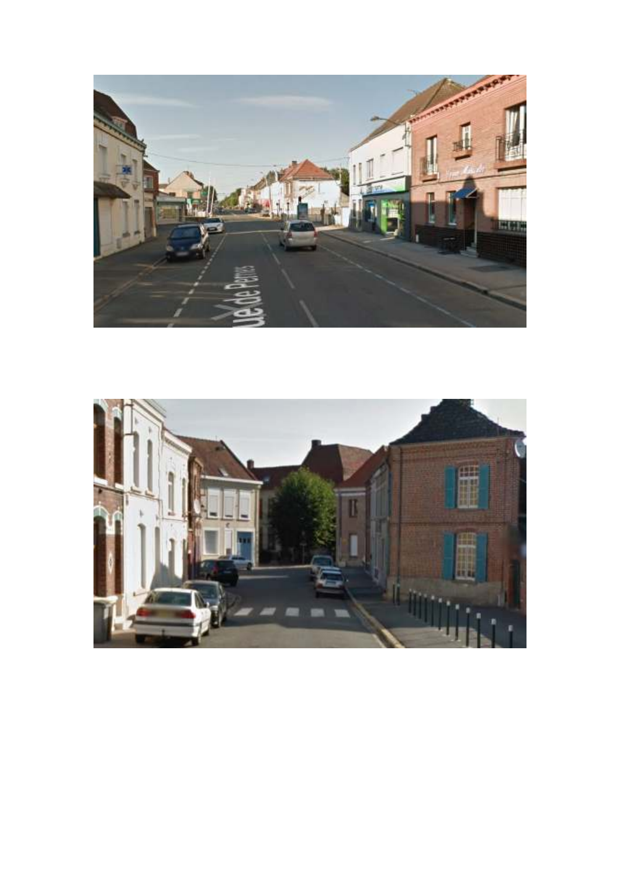

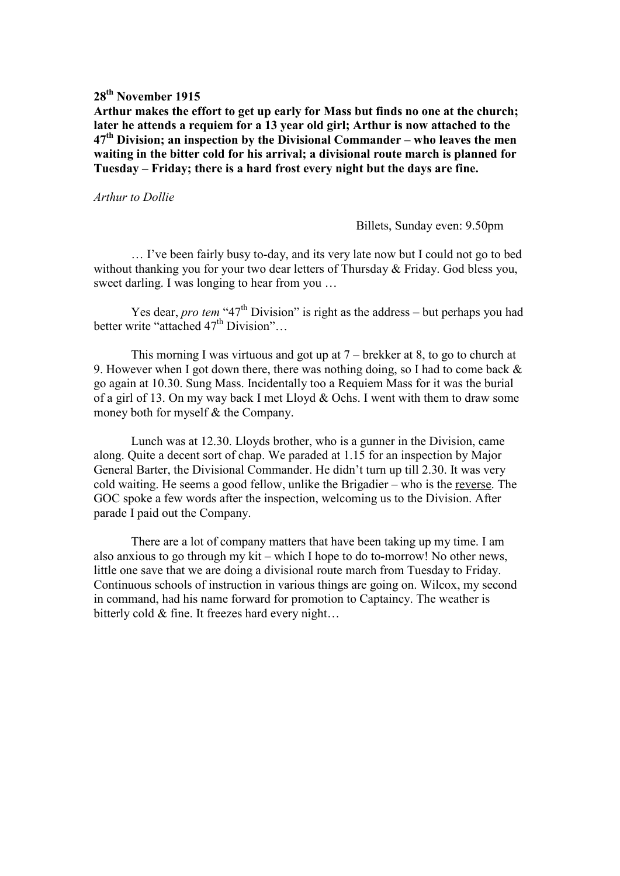**Arthur makes the effort to get up early for Mass but finds no one at the church; later he attends a requiem for a 13 year old girl; Arthur is now attached to the 47th Division; an inspection by the Divisional Commander – who leaves the men waiting in the bitter cold for his arrival; a divisional route march is planned for Tuesday – Friday; there is a hard frost every night but the days are fine.** 

*Arthur to Dollie* 

#### Billets, Sunday even: 9.50pm

 … I've been fairly busy to-day, and its very late now but I could not go to bed without thanking you for your two dear letters of Thursday & Friday. God bless you, sweet darling. I was longing to hear from you …

Yes dear, *pro tem* "47<sup>th</sup> Division" is right as the address – but perhaps you had better write "attached 47<sup>th</sup> Division"...

 This morning I was virtuous and got up at 7 – brekker at 8, to go to church at 9. However when I got down there, there was nothing doing, so I had to come back  $\&$ go again at 10.30. Sung Mass. Incidentally too a Requiem Mass for it was the burial of a girl of 13. On my way back I met Lloyd & Ochs. I went with them to draw some money both for myself & the Company.

Lunch was at 12.30. Lloyds brother, who is a gunner in the Division, came along. Quite a decent sort of chap. We paraded at 1.15 for an inspection by Major General Barter, the Divisional Commander. He didn't turn up till 2.30. It was very cold waiting. He seems a good fellow, unlike the Brigadier – who is the reverse. The GOC spoke a few words after the inspection, welcoming us to the Division. After parade I paid out the Company.

There are a lot of company matters that have been taking up my time. I am also anxious to go through my kit – which I hope to do to-morrow! No other news, little one save that we are doing a divisional route march from Tuesday to Friday. Continuous schools of instruction in various things are going on. Wilcox, my second in command, had his name forward for promotion to Captaincy. The weather is bitterly cold & fine. It freezes hard every night...